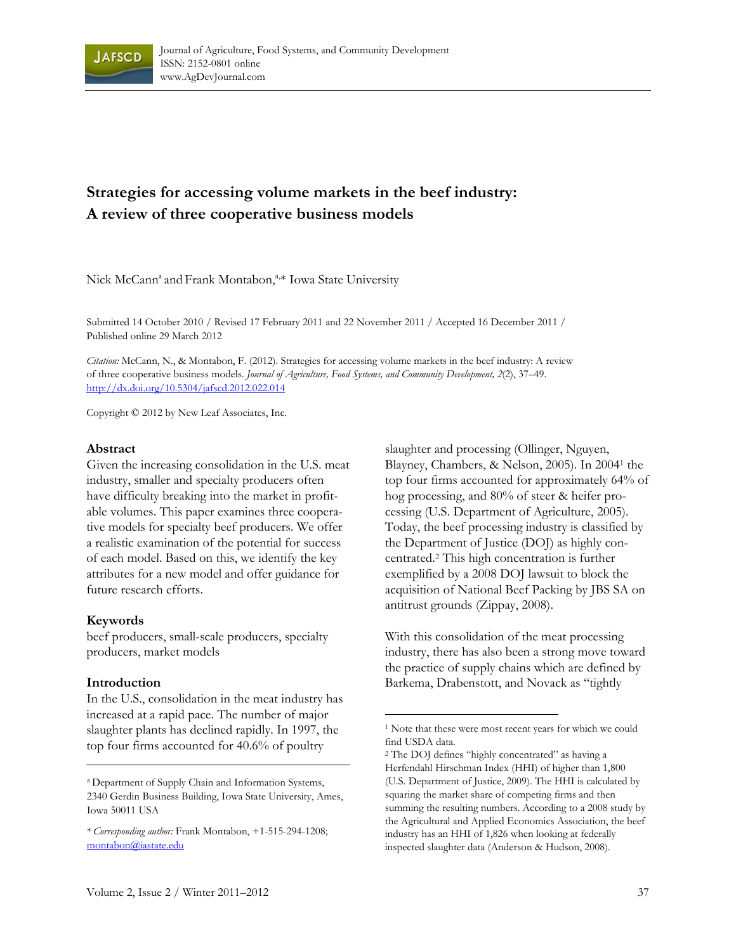

# **Strategies for accessing volume markets in the beef industry: A review of three cooperative business models**

Nick McCann<sup>a</sup> and Frank Montabon,<sup>a,\*</sup> Iowa State University

Submitted 14 October 2010 / Revised 17 February 2011 and 22 November 2011 / Accepted 16 December 2011 / Published online 29 March 2012

*Citation:* McCann, N., & Montabon, F. (2012). Strategies for accessing volume markets in the beef industry: A review of three cooperative business models. *Journal of Agriculture, Food Systems, and Community Development, 2*(2), 37–49. http://dx.doi.org/[10.5304/jafscd.2012.022.014](http://dx.doi.org/10.5304/jafscd.2012.022.014) 

 $\overline{a}$ 

Copyright © 2012 by New Leaf Associates, Inc.

#### **Abstract**

Given the increasing consolidation in the U.S. meat industry, smaller and specialty producers often have difficulty breaking into the market in profitable volumes. This paper examines three cooperative models for specialty beef producers. We offer a realistic examination of the potential for success of each model. Based on this, we identify the key attributes for a new model and offer guidance for future research efforts.

#### **Keywords**

beef producers, small-scale producers, specialty producers, market models

#### **Introduction**

In the U.S., consolidation in the meat industry has increased at a rapid pace. The number of major slaughter plants has declined rapidly. In 1997, the top four firms accounted for 40.6% of poultry

slaughter and processing (Ollinger, Nguyen, Blayney, Chambers, & Nelson, 2005). In 20041 the top four firms accounted for approximately 64% of hog processing, and 80% of steer & heifer processing (U.S. Department of Agriculture, 2005). Today, the beef processing industry is classified by the Department of Justice (DOJ) as highly concentrated.2 This high concentration is further exemplified by a 2008 DOJ lawsuit to block the acquisition of National Beef Packing by JBS SA on antitrust grounds (Zippay, 2008).

With this consolidation of the meat processing industry, there has also been a strong move toward the practice of supply chains which are defined by Barkema, Drabenstott, and Novack as "tightly

a Department of Supply Chain and Information Systems, 2340 Gerdin Business Building, Iowa State University, Ames, Iowa 50011 USA

<sup>\*</sup> *Corresponding author:* Frank Montabon, +1-515-294-1208; [montabon@iastate.edu](mailto:montabon@iastate.edu) 

<sup>1</sup> Note that these were most recent years for which we could find USDA data.

<sup>2</sup> The DOJ defines "highly concentrated" as having a Herfendahl Hirschman Index (HHI) of higher than 1,800 (U.S. Department of Justice, 2009). The HHI is calculated by squaring the market share of competing firms and then summing the resulting numbers. According to a 2008 study by the Agricultural and Applied Economics Association, the beef industry has an HHI of 1,826 when looking at federally inspected slaughter data (Anderson & Hudson, 2008).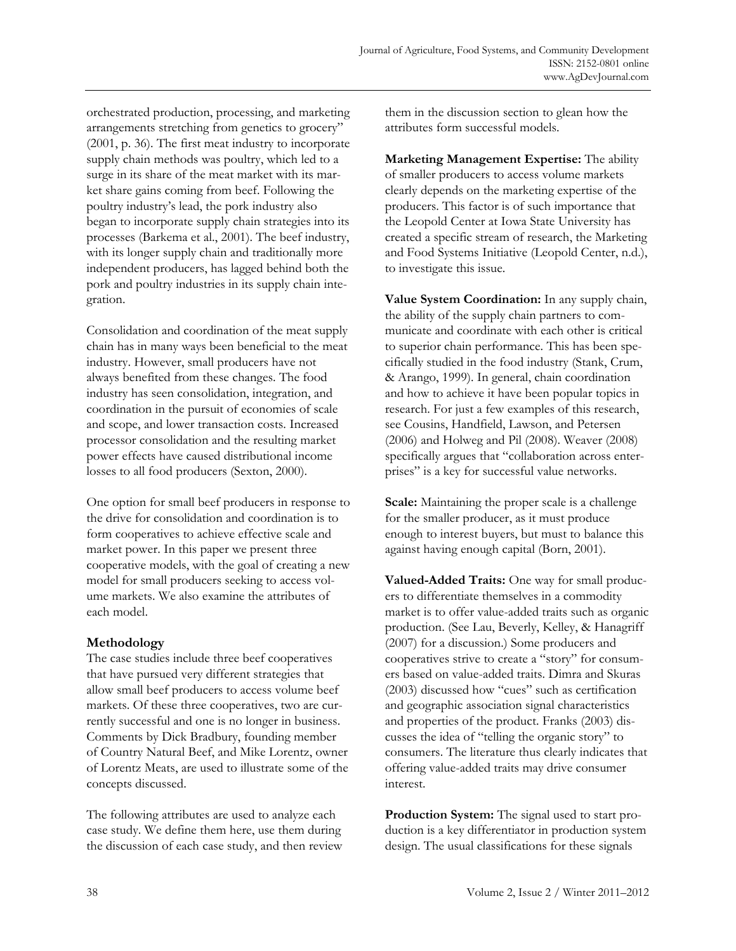orchestrated production, processing, and marketing arrangements stretching from genetics to grocery" (2001, p. 36). The first meat industry to incorporate supply chain methods was poultry, which led to a surge in its share of the meat market with its market share gains coming from beef. Following the poultry industry's lead, the pork industry also began to incorporate supply chain strategies into its processes (Barkema et al., 2001). The beef industry, with its longer supply chain and traditionally more independent producers, has lagged behind both the pork and poultry industries in its supply chain integration.

Consolidation and coordination of the meat supply chain has in many ways been beneficial to the meat industry. However, small producers have not always benefited from these changes. The food industry has seen consolidation, integration, and coordination in the pursuit of economies of scale and scope, and lower transaction costs. Increased processor consolidation and the resulting market power effects have caused distributional income losses to all food producers (Sexton, 2000).

One option for small beef producers in response to the drive for consolidation and coordination is to form cooperatives to achieve effective scale and market power. In this paper we present three cooperative models, with the goal of creating a new model for small producers seeking to access volume markets. We also examine the attributes of each model.

#### **Methodology**

The case studies include three beef cooperatives that have pursued very different strategies that allow small beef producers to access volume beef markets. Of these three cooperatives, two are currently successful and one is no longer in business. Comments by Dick Bradbury, founding member of Country Natural Beef, and Mike Lorentz, owner of Lorentz Meats, are used to illustrate some of the concepts discussed.

The following attributes are used to analyze each case study. We define them here, use them during the discussion of each case study, and then review them in the discussion section to glean how the attributes form successful models.

**Marketing Management Expertise:** The ability of smaller producers to access volume markets clearly depends on the marketing expertise of the producers. This factor is of such importance that the Leopold Center at Iowa State University has created a specific stream of research, the Marketing and Food Systems Initiative (Leopold Center, n.d.), to investigate this issue.

**Value System Coordination:** In any supply chain, the ability of the supply chain partners to communicate and coordinate with each other is critical to superior chain performance. This has been specifically studied in the food industry (Stank, Crum, & Arango, 1999). In general, chain coordination and how to achieve it have been popular topics in research. For just a few examples of this research, see Cousins, Handfield, Lawson, and Petersen (2006) and Holweg and Pil (2008). Weaver (2008) specifically argues that "collaboration across enterprises" is a key for successful value networks.

**Scale:** Maintaining the proper scale is a challenge for the smaller producer, as it must produce enough to interest buyers, but must to balance this against having enough capital (Born, 2001).

**Valued-Added Traits:** One way for small producers to differentiate themselves in a commodity market is to offer value-added traits such as organic production. (See Lau, Beverly, Kelley, & Hanagriff (2007) for a discussion.) Some producers and cooperatives strive to create a "story" for consumers based on value-added traits. Dimra and Skuras (2003) discussed how "cues" such as certification and geographic association signal characteristics and properties of the product. Franks (2003) discusses the idea of "telling the organic story" to consumers. The literature thus clearly indicates that offering value-added traits may drive consumer interest.

**Production System:** The signal used to start production is a key differentiator in production system design. The usual classifications for these signals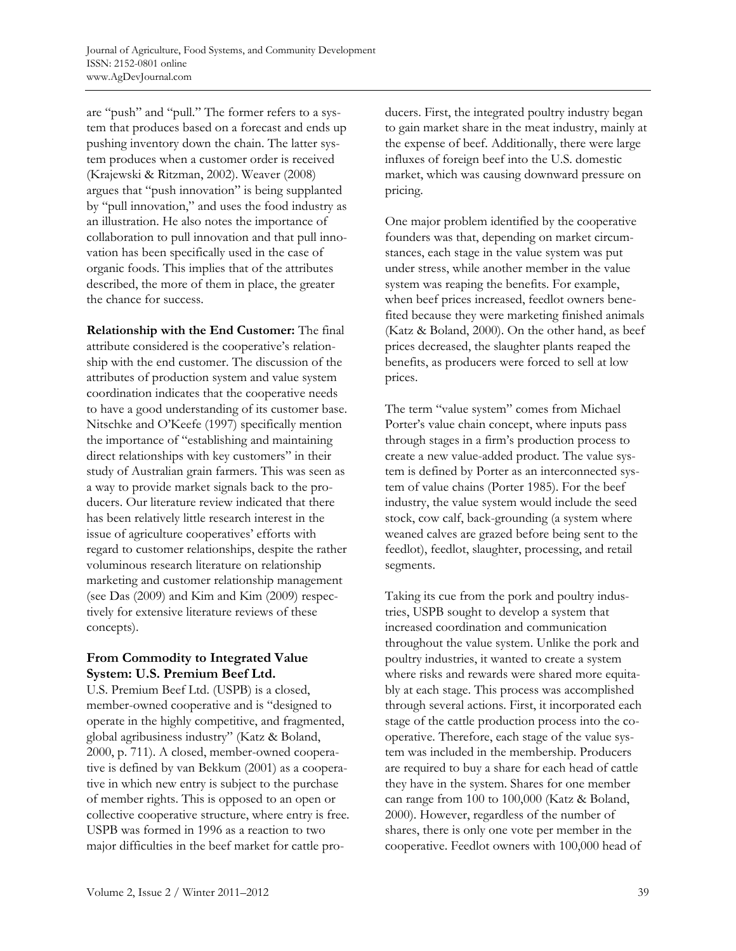are "push" and "pull." The former refers to a system that produces based on a forecast and ends up pushing inventory down the chain. The latter system produces when a customer order is received (Krajewski & Ritzman, 2002). Weaver (2008) argues that "push innovation" is being supplanted by "pull innovation," and uses the food industry as an illustration. He also notes the importance of collaboration to pull innovation and that pull innovation has been specifically used in the case of organic foods. This implies that of the attributes described, the more of them in place, the greater the chance for success.

**Relationship with the End Customer:** The final attribute considered is the cooperative's relationship with the end customer. The discussion of the attributes of production system and value system coordination indicates that the cooperative needs to have a good understanding of its customer base. Nitschke and O'Keefe (1997) specifically mention the importance of "establishing and maintaining direct relationships with key customers" in their study of Australian grain farmers. This was seen as a way to provide market signals back to the producers. Our literature review indicated that there has been relatively little research interest in the issue of agriculture cooperatives' efforts with regard to customer relationships, despite the rather voluminous research literature on relationship marketing and customer relationship management (see Das (2009) and Kim and Kim (2009) respectively for extensive literature reviews of these concepts).

### **From Commodity to Integrated Value System: U.S. Premium Beef Ltd.**

U.S. Premium Beef Ltd. (USPB) is a closed, member-owned cooperative and is "designed to operate in the highly competitive, and fragmented, global agribusiness industry" (Katz & Boland, 2000, p. 711). A closed, member-owned cooperative is defined by van Bekkum (2001) as a cooperative in which new entry is subject to the purchase of member rights. This is opposed to an open or collective cooperative structure, where entry is free. USPB was formed in 1996 as a reaction to two major difficulties in the beef market for cattle producers. First, the integrated poultry industry began to gain market share in the meat industry, mainly at the expense of beef. Additionally, there were large influxes of foreign beef into the U.S. domestic market, which was causing downward pressure on pricing.

One major problem identified by the cooperative founders was that, depending on market circumstances, each stage in the value system was put under stress, while another member in the value system was reaping the benefits. For example, when beef prices increased, feedlot owners benefited because they were marketing finished animals (Katz & Boland, 2000). On the other hand, as beef prices decreased, the slaughter plants reaped the benefits, as producers were forced to sell at low prices.

The term "value system" comes from Michael Porter's value chain concept, where inputs pass through stages in a firm's production process to create a new value-added product. The value system is defined by Porter as an interconnected system of value chains (Porter 1985). For the beef industry, the value system would include the seed stock, cow calf, back-grounding (a system where weaned calves are grazed before being sent to the feedlot), feedlot, slaughter, processing, and retail segments.

Taking its cue from the pork and poultry industries, USPB sought to develop a system that increased coordination and communication throughout the value system. Unlike the pork and poultry industries, it wanted to create a system where risks and rewards were shared more equitably at each stage. This process was accomplished through several actions. First, it incorporated each stage of the cattle production process into the cooperative. Therefore, each stage of the value system was included in the membership. Producers are required to buy a share for each head of cattle they have in the system. Shares for one member can range from 100 to 100,000 (Katz & Boland, 2000). However, regardless of the number of shares, there is only one vote per member in the cooperative. Feedlot owners with 100,000 head of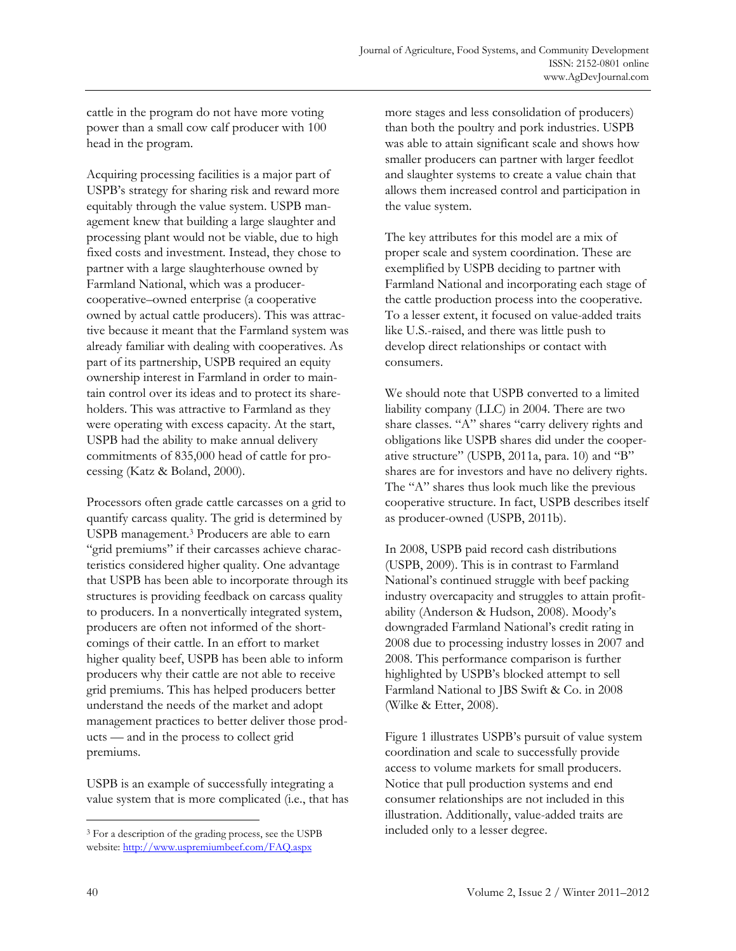cattle in the program do not have more voting power than a small cow calf producer with 100 head in the program.

Acquiring processing facilities is a major part of USPB's strategy for sharing risk and reward more equitably through the value system. USPB management knew that building a large slaughter and processing plant would not be viable, due to high fixed costs and investment. Instead, they chose to partner with a large slaughterhouse owned by Farmland National, which was a producercooperative–owned enterprise (a cooperative owned by actual cattle producers). This was attractive because it meant that the Farmland system was already familiar with dealing with cooperatives. As part of its partnership, USPB required an equity ownership interest in Farmland in order to maintain control over its ideas and to protect its shareholders. This was attractive to Farmland as they were operating with excess capacity. At the start, USPB had the ability to make annual delivery commitments of 835,000 head of cattle for processing (Katz & Boland, 2000).

Processors often grade cattle carcasses on a grid to quantify carcass quality. The grid is determined by USPB management.3 Producers are able to earn "grid premiums" if their carcasses achieve characteristics considered higher quality. One advantage that USPB has been able to incorporate through its structures is providing feedback on carcass quality to producers. In a nonvertically integrated system, producers are often not informed of the shortcomings of their cattle. In an effort to market higher quality beef, USPB has been able to inform producers why their cattle are not able to receive grid premiums. This has helped producers better understand the needs of the market and adopt management practices to better deliver those products — and in the process to collect grid premiums.

USPB is an example of successfully integrating a value system that is more complicated (i.e., that has more stages and less consolidation of producers) than both the poultry and pork industries. USPB was able to attain significant scale and shows how smaller producers can partner with larger feedlot and slaughter systems to create a value chain that allows them increased control and participation in the value system.

The key attributes for this model are a mix of proper scale and system coordination. These are exemplified by USPB deciding to partner with Farmland National and incorporating each stage of the cattle production process into the cooperative. To a lesser extent, it focused on value-added traits like U.S.-raised, and there was little push to develop direct relationships or contact with consumers.

We should note that USPB converted to a limited liability company (LLC) in 2004. There are two share classes. "A" shares "carry delivery rights and obligations like USPB shares did under the cooperative structure" (USPB, 2011a, para. 10) and "B" shares are for investors and have no delivery rights. The "A" shares thus look much like the previous cooperative structure. In fact, USPB describes itself as producer-owned (USPB, 2011b).

In 2008, USPB paid record cash distributions (USPB, 2009). This is in contrast to Farmland National's continued struggle with beef packing industry overcapacity and struggles to attain profitability (Anderson & Hudson, 2008). Moody's downgraded Farmland National's credit rating in 2008 due to processing industry losses in 2007 and 2008. This performance comparison is further highlighted by USPB's blocked attempt to sell Farmland National to JBS Swift & Co. in 2008 (Wilke & Etter, 2008).

Figure 1 illustrates USPB's pursuit of value system coordination and scale to successfully provide access to volume markets for small producers. Notice that pull production systems and end consumer relationships are not included in this illustration. Additionally, value-added traits are included only to a lesser degree.

 $\overline{a}$ 

<sup>3</sup> For a description of the grading process, see the USPB website:<http://www.uspremiumbeef.com/FAQ.aspx>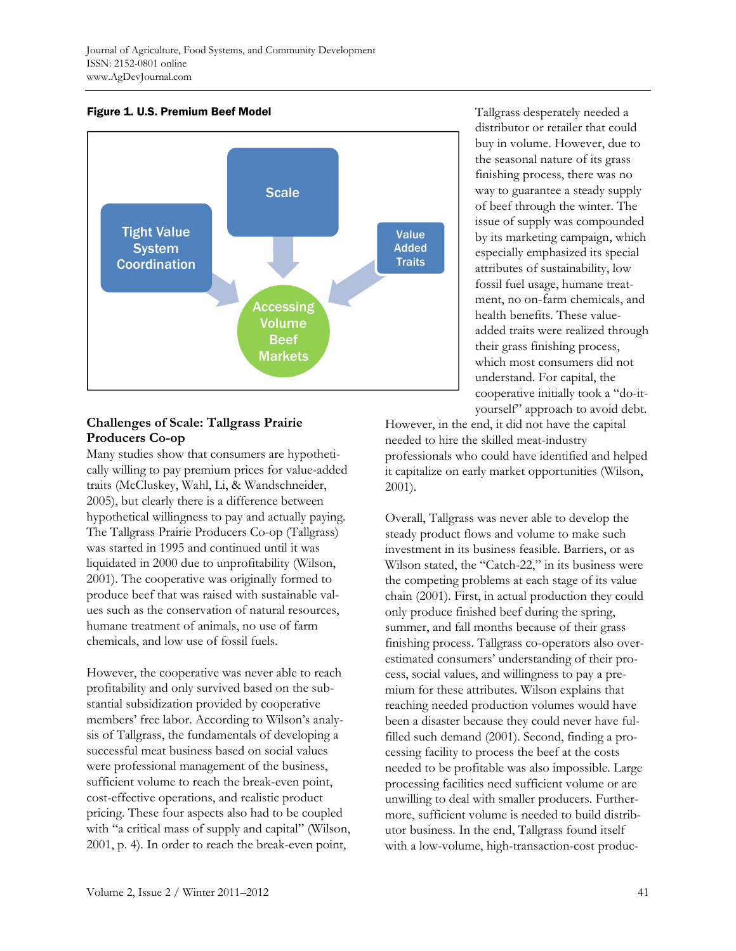Figure 1. U.S. Premium Beef Model



# **Challenges of Scale: Tallgrass Prairie Producers Co-op**

Many studies show that consumers are hypothetically willing to pay premium prices for value-added traits (McCluskey, Wahl, Li, & Wandschneider, 2005), but clearly there is a difference between hypothetical willingness to pay and actually paying. The Tallgrass Prairie Producers Co-op (Tallgrass) was started in 1995 and continued until it was liquidated in 2000 due to unprofitability (Wilson, 2001). The cooperative was originally formed to produce beef that was raised with sustainable values such as the conservation of natural resources, humane treatment of animals, no use of farm chemicals, and low use of fossil fuels.

However, the cooperative was never able to reach profitability and only survived based on the substantial subsidization provided by cooperative members' free labor. According to Wilson's analysis of Tallgrass, the fundamentals of developing a successful meat business based on social values were professional management of the business, sufficient volume to reach the break-even point, cost-effective operations, and realistic product pricing. These four aspects also had to be coupled with "a critical mass of supply and capital" (Wilson, 2001, p. 4). In order to reach the break-even point,

Tallgrass desperately needed a distributor or retailer that could buy in volume. However, due to the seasonal nature of its grass finishing process, there was no way to guarantee a steady supply of beef through the winter. The issue of supply was compounded by its marketing campaign, which especially emphasized its special attributes of sustainability, low fossil fuel usage, humane treatment, no on-farm chemicals, and health benefits. These valueadded traits were realized through their grass finishing process, which most consumers did not understand. For capital, the cooperative initially took a "do-ityourself" approach to avoid debt.

However, in the end, it did not have the capital needed to hire the skilled meat-industry professionals who could have identified and helped it capitalize on early market opportunities (Wilson, 2001).

Overall, Tallgrass was never able to develop the steady product flows and volume to make such investment in its business feasible. Barriers, or as Wilson stated, the "Catch-22," in its business were the competing problems at each stage of its value chain (2001). First, in actual production they could only produce finished beef during the spring, summer, and fall months because of their grass finishing process. Tallgrass co-operators also overestimated consumers' understanding of their process, social values, and willingness to pay a premium for these attributes. Wilson explains that reaching needed production volumes would have been a disaster because they could never have fulfilled such demand (2001). Second, finding a processing facility to process the beef at the costs needed to be profitable was also impossible. Large processing facilities need sufficient volume or are unwilling to deal with smaller producers. Furthermore, sufficient volume is needed to build distributor business. In the end, Tallgrass found itself with a low-volume, high-transaction-cost produc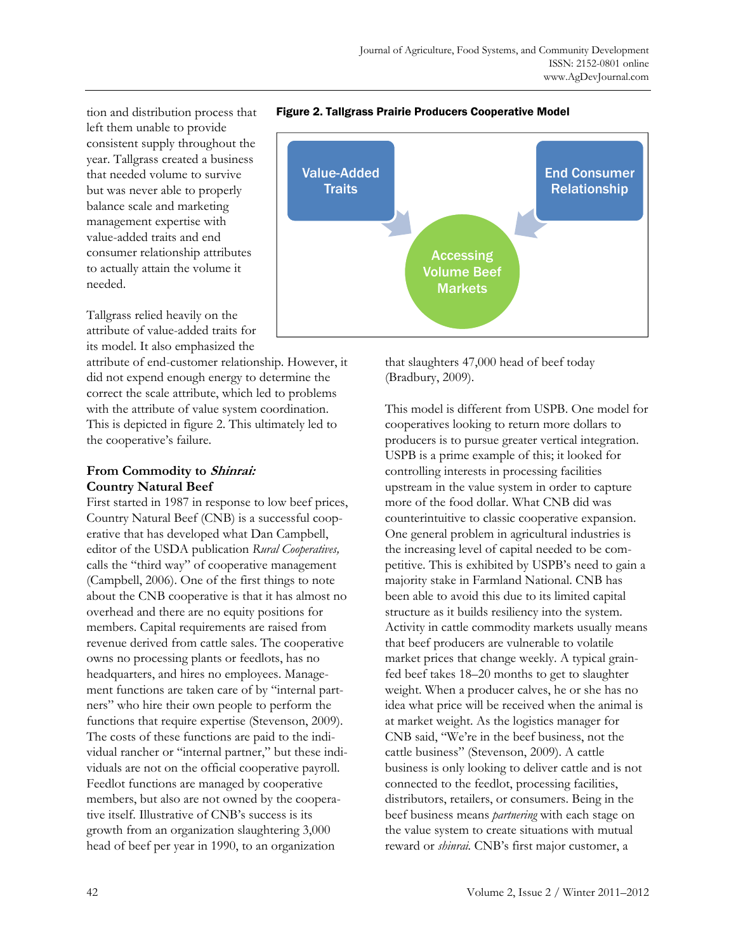tion and distribution process that left them unable to provide consistent supply throughout the year. Tallgrass created a business that needed volume to survive but was never able to properly balance scale and marketing management expertise with value-added traits and end consumer relationship attributes to actually attain the volume it needed.

Tallgrass relied heavily on the attribute of value-added traits for its model. It also emphasized the

attribute of end-customer relationship. However, it did not expend enough energy to determine the correct the scale attribute, which led to problems with the attribute of value system coordination. This is depicted in figure 2. This ultimately led to the cooperative's failure.

### **From Commodity to Shinrai: Country Natural Beef**

First started in 1987 in response to low beef prices, Country Natural Beef (CNB) is a successful cooperative that has developed what Dan Campbell, editor of the USDA publication *Rural Cooperatives,* calls the "third way" of cooperative management (Campbell, 2006). One of the first things to note about the CNB cooperative is that it has almost no overhead and there are no equity positions for members. Capital requirements are raised from revenue derived from cattle sales. The cooperative owns no processing plants or feedlots, has no headquarters, and hires no employees. Management functions are taken care of by "internal partners" who hire their own people to perform the functions that require expertise (Stevenson, 2009). The costs of these functions are paid to the individual rancher or "internal partner," but these individuals are not on the official cooperative payroll. Feedlot functions are managed by cooperative members, but also are not owned by the cooperative itself. Illustrative of CNB's success is its growth from an organization slaughtering 3,000 head of beef per year in 1990, to an organization



Figure 2. Tallgrass Prairie Producers Cooperative Model

that slaughters 47,000 head of beef today (Bradbury, 2009).

This model is different from USPB. One model for cooperatives looking to return more dollars to producers is to pursue greater vertical integration. USPB is a prime example of this; it looked for controlling interests in processing facilities upstream in the value system in order to capture more of the food dollar. What CNB did was counterintuitive to classic cooperative expansion. One general problem in agricultural industries is the increasing level of capital needed to be competitive. This is exhibited by USPB's need to gain a majority stake in Farmland National. CNB has been able to avoid this due to its limited capital structure as it builds resiliency into the system. Activity in cattle commodity markets usually means that beef producers are vulnerable to volatile market prices that change weekly. A typical grainfed beef takes 18–20 months to get to slaughter weight. When a producer calves, he or she has no idea what price will be received when the animal is at market weight. As the logistics manager for CNB said, "We're in the beef business, not the cattle business" (Stevenson, 2009). A cattle business is only looking to deliver cattle and is not connected to the feedlot, processing facilities, distributors, retailers, or consumers. Being in the beef business means *partnering* with each stage on the value system to create situations with mutual reward or *shinrai.* CNB's first major customer, a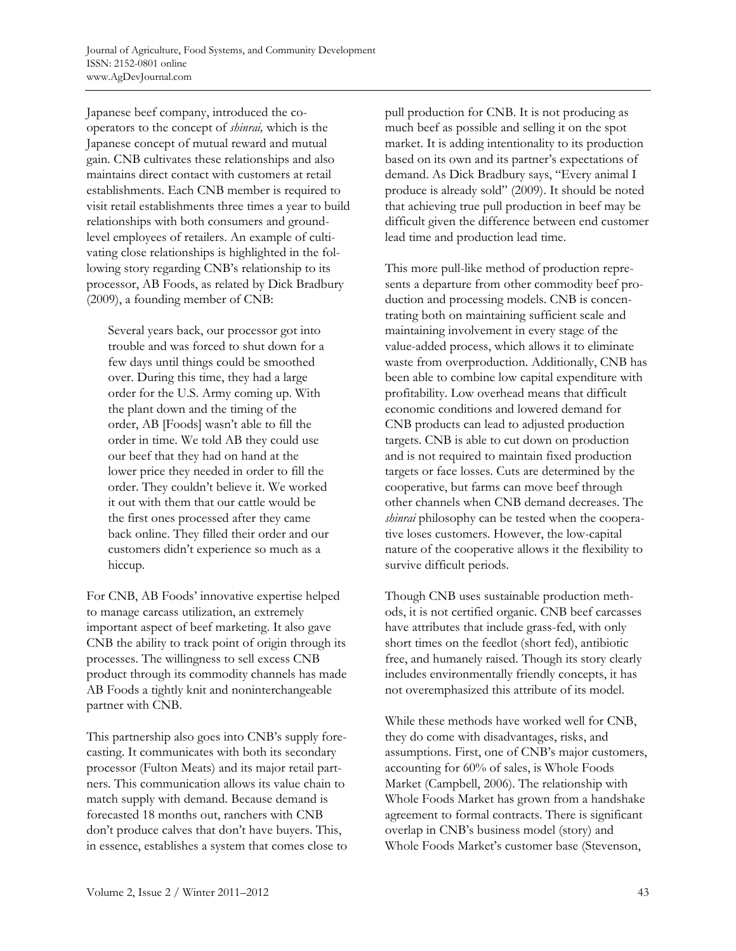Japanese beef company, introduced the cooperators to the concept of *shinrai,* which is the Japanese concept of mutual reward and mutual gain. CNB cultivates these relationships and also maintains direct contact with customers at retail establishments. Each CNB member is required to visit retail establishments three times a year to build relationships with both consumers and groundlevel employees of retailers. An example of cultivating close relationships is highlighted in the following story regarding CNB's relationship to its processor, AB Foods, as related by Dick Bradbury (2009), a founding member of CNB:

Several years back, our processor got into trouble and was forced to shut down for a few days until things could be smoothed over. During this time, they had a large order for the U.S. Army coming up. With the plant down and the timing of the order, AB [Foods] wasn't able to fill the order in time. We told AB they could use our beef that they had on hand at the lower price they needed in order to fill the order. They couldn't believe it. We worked it out with them that our cattle would be the first ones processed after they came back online. They filled their order and our customers didn't experience so much as a hiccup.

For CNB, AB Foods' innovative expertise helped to manage carcass utilization, an extremely important aspect of beef marketing. It also gave CNB the ability to track point of origin through its processes. The willingness to sell excess CNB product through its commodity channels has made AB Foods a tightly knit and noninterchangeable partner with CNB.

This partnership also goes into CNB's supply forecasting. It communicates with both its secondary processor (Fulton Meats) and its major retail partners. This communication allows its value chain to match supply with demand. Because demand is forecasted 18 months out, ranchers with CNB don't produce calves that don't have buyers. This, in essence, establishes a system that comes close to pull production for CNB. It is not producing as much beef as possible and selling it on the spot market. It is adding intentionality to its production based on its own and its partner's expectations of demand. As Dick Bradbury says, "Every animal I produce is already sold" (2009). It should be noted that achieving true pull production in beef may be difficult given the difference between end customer lead time and production lead time.

This more pull-like method of production represents a departure from other commodity beef production and processing models. CNB is concentrating both on maintaining sufficient scale and maintaining involvement in every stage of the value-added process, which allows it to eliminate waste from overproduction. Additionally, CNB has been able to combine low capital expenditure with profitability. Low overhead means that difficult economic conditions and lowered demand for CNB products can lead to adjusted production targets. CNB is able to cut down on production and is not required to maintain fixed production targets or face losses. Cuts are determined by the cooperative, but farms can move beef through other channels when CNB demand decreases. The *shinrai* philosophy can be tested when the cooperative loses customers. However, the low-capital nature of the cooperative allows it the flexibility to survive difficult periods.

Though CNB uses sustainable production methods, it is not certified organic. CNB beef carcasses have attributes that include grass-fed, with only short times on the feedlot (short fed), antibiotic free, and humanely raised. Though its story clearly includes environmentally friendly concepts, it has not overemphasized this attribute of its model.

While these methods have worked well for CNB, they do come with disadvantages, risks, and assumptions. First, one of CNB's major customers, accounting for 60% of sales, is Whole Foods Market (Campbell, 2006). The relationship with Whole Foods Market has grown from a handshake agreement to formal contracts. There is significant overlap in CNB's business model (story) and Whole Foods Market's customer base (Stevenson,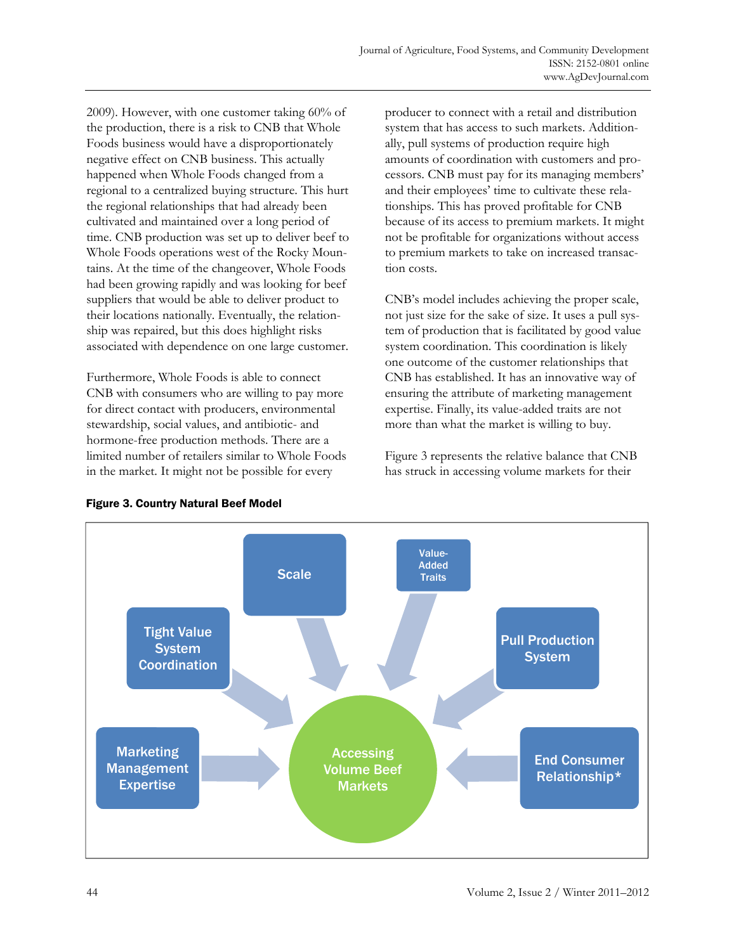2009). However, with one customer taking 60% of the production, there is a risk to CNB that Whole Foods business would have a disproportionately negative effect on CNB business. This actually happened when Whole Foods changed from a regional to a centralized buying structure. This hurt the regional relationships that had already been cultivated and maintained over a long period of time. CNB production was set up to deliver beef to Whole Foods operations west of the Rocky Mountains. At the time of the changeover, Whole Foods had been growing rapidly and was looking for beef suppliers that would be able to deliver product to their locations nationally. Eventually, the relationship was repaired, but this does highlight risks associated with dependence on one large customer.

Furthermore, Whole Foods is able to connect CNB with consumers who are willing to pay more for direct contact with producers, environmental stewardship, social values, and antibiotic- and hormone-free production methods. There are a limited number of retailers similar to Whole Foods in the market. It might not be possible for every

producer to connect with a retail and distribution system that has access to such markets. Additionally, pull systems of production require high amounts of coordination with customers and processors. CNB must pay for its managing members' and their employees' time to cultivate these relationships. This has proved profitable for CNB because of its access to premium markets. It might not be profitable for organizations without access to premium markets to take on increased transaction costs.

CNB's model includes achieving the proper scale, not just size for the sake of size. It uses a pull system of production that is facilitated by good value system coordination. This coordination is likely one outcome of the customer relationships that CNB has established. It has an innovative way of ensuring the attribute of marketing management expertise. Finally, its value-added traits are not more than what the market is willing to buy.

Figure 3 represents the relative balance that CNB has struck in accessing volume markets for their



#### Figure 3. Country Natural Beef Model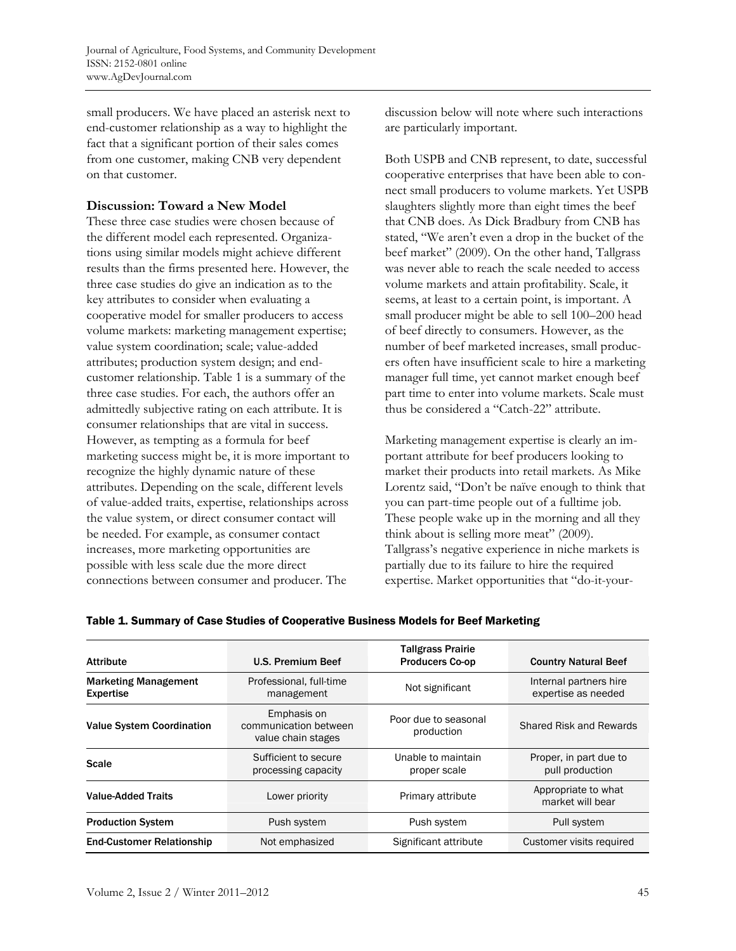small producers. We have placed an asterisk next to end-customer relationship as a way to highlight the fact that a significant portion of their sales comes from one customer, making CNB very dependent on that customer.

### **Discussion: Toward a New Model**

These three case studies were chosen because of the different model each represented. Organizations using similar models might achieve different results than the firms presented here. However, the three case studies do give an indication as to the key attributes to consider when evaluating a cooperative model for smaller producers to access volume markets: marketing management expertise; value system coordination; scale; value-added attributes; production system design; and endcustomer relationship. Table 1 is a summary of the three case studies. For each, the authors offer an admittedly subjective rating on each attribute. It is consumer relationships that are vital in success. However, as tempting as a formula for beef marketing success might be, it is more important to recognize the highly dynamic nature of these attributes. Depending on the scale, different levels of value-added traits, expertise, relationships across the value system, or direct consumer contact will be needed. For example, as consumer contact increases, more marketing opportunities are possible with less scale due the more direct connections between consumer and producer. The

discussion below will note where such interactions are particularly important.

Both USPB and CNB represent, to date, successful cooperative enterprises that have been able to connect small producers to volume markets. Yet USPB slaughters slightly more than eight times the beef that CNB does. As Dick Bradbury from CNB has stated, "We aren't even a drop in the bucket of the beef market" (2009). On the other hand, Tallgrass was never able to reach the scale needed to access volume markets and attain profitability. Scale, it seems, at least to a certain point, is important. A small producer might be able to sell 100–200 head of beef directly to consumers. However, as the number of beef marketed increases, small producers often have insufficient scale to hire a marketing manager full time, yet cannot market enough beef part time to enter into volume markets. Scale must thus be considered a "Catch-22" attribute.

Marketing management expertise is clearly an important attribute for beef producers looking to market their products into retail markets. As Mike Lorentz said, "Don't be naïve enough to think that you can part-time people out of a fulltime job. These people wake up in the morning and all they think about is selling more meat" (2009). Tallgrass's negative experience in niche markets is partially due to its failure to hire the required expertise. Market opportunities that "do-it-your-

| <b>Attribute</b>                                | <b>U.S. Premium Beef</b>                                   | <b>Tallgrass Prairie</b><br><b>Producers Co-op</b> | <b>Country Natural Beef</b>                   |
|-------------------------------------------------|------------------------------------------------------------|----------------------------------------------------|-----------------------------------------------|
| <b>Marketing Management</b><br><b>Expertise</b> | Professional, full-time<br>management                      | Not significant                                    | Internal partners hire<br>expertise as needed |
| <b>Value System Coordination</b>                | Emphasis on<br>communication between<br>value chain stages | Poor due to seasonal<br>production                 | Shared Risk and Rewards                       |
| Scale                                           | Sufficient to secure<br>processing capacity                | Unable to maintain<br>proper scale                 | Proper, in part due to<br>pull production     |
| <b>Value-Added Traits</b>                       | Lower priority                                             | Primary attribute                                  | Appropriate to what<br>market will bear       |
| <b>Production System</b>                        | Push system                                                | Push system                                        | Pull system                                   |
| <b>End-Customer Relationship</b>                | Not emphasized                                             | Significant attribute                              | Customer visits required                      |

#### Table 1. Summary of Case Studies of Cooperative Business Models for Beef Marketing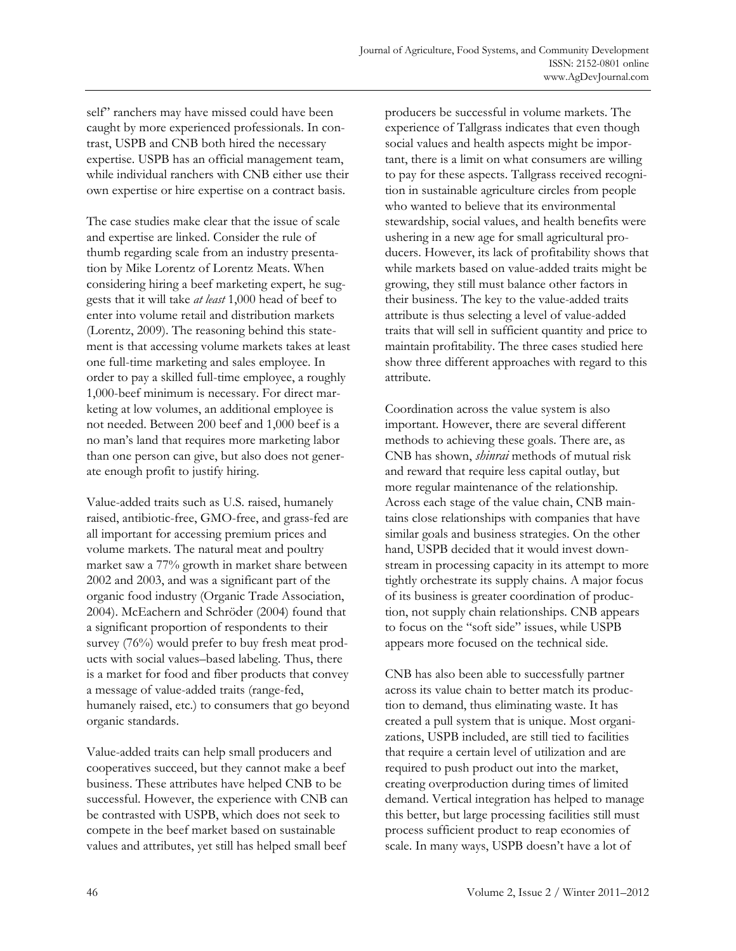self" ranchers may have missed could have been caught by more experienced professionals. In contrast, USPB and CNB both hired the necessary expertise. USPB has an official management team, while individual ranchers with CNB either use their own expertise or hire expertise on a contract basis.

The case studies make clear that the issue of scale and expertise are linked. Consider the rule of thumb regarding scale from an industry presentation by Mike Lorentz of Lorentz Meats. When considering hiring a beef marketing expert, he suggests that it will take *at least* 1,000 head of beef to enter into volume retail and distribution markets (Lorentz, 2009). The reasoning behind this statement is that accessing volume markets takes at least one full-time marketing and sales employee. In order to pay a skilled full-time employee, a roughly 1,000-beef minimum is necessary. For direct marketing at low volumes, an additional employee is not needed. Between 200 beef and 1,000 beef is a no man's land that requires more marketing labor than one person can give, but also does not generate enough profit to justify hiring.

Value-added traits such as U.S. raised, humanely raised, antibiotic-free, GMO-free, and grass-fed are all important for accessing premium prices and volume markets. The natural meat and poultry market saw a 77% growth in market share between 2002 and 2003, and was a significant part of the organic food industry (Organic Trade Association, 2004). McEachern and Schröder (2004) found that a significant proportion of respondents to their survey (76%) would prefer to buy fresh meat products with social values–based labeling. Thus, there is a market for food and fiber products that convey a message of value-added traits (range-fed, humanely raised, etc.) to consumers that go beyond organic standards.

Value-added traits can help small producers and cooperatives succeed, but they cannot make a beef business. These attributes have helped CNB to be successful. However, the experience with CNB can be contrasted with USPB, which does not seek to compete in the beef market based on sustainable values and attributes, yet still has helped small beef

producers be successful in volume markets. The experience of Tallgrass indicates that even though social values and health aspects might be important, there is a limit on what consumers are willing to pay for these aspects. Tallgrass received recognition in sustainable agriculture circles from people who wanted to believe that its environmental stewardship, social values, and health benefits were ushering in a new age for small agricultural producers. However, its lack of profitability shows that while markets based on value-added traits might be growing, they still must balance other factors in their business. The key to the value-added traits attribute is thus selecting a level of value-added traits that will sell in sufficient quantity and price to maintain profitability. The three cases studied here show three different approaches with regard to this attribute.

Coordination across the value system is also important. However, there are several different methods to achieving these goals. There are, as CNB has shown, *shinrai* methods of mutual risk and reward that require less capital outlay, but more regular maintenance of the relationship. Across each stage of the value chain, CNB maintains close relationships with companies that have similar goals and business strategies. On the other hand, USPB decided that it would invest downstream in processing capacity in its attempt to more tightly orchestrate its supply chains. A major focus of its business is greater coordination of production, not supply chain relationships. CNB appears to focus on the "soft side" issues, while USPB appears more focused on the technical side.

CNB has also been able to successfully partner across its value chain to better match its production to demand, thus eliminating waste. It has created a pull system that is unique. Most organizations, USPB included, are still tied to facilities that require a certain level of utilization and are required to push product out into the market, creating overproduction during times of limited demand. Vertical integration has helped to manage this better, but large processing facilities still must process sufficient product to reap economies of scale. In many ways, USPB doesn't have a lot of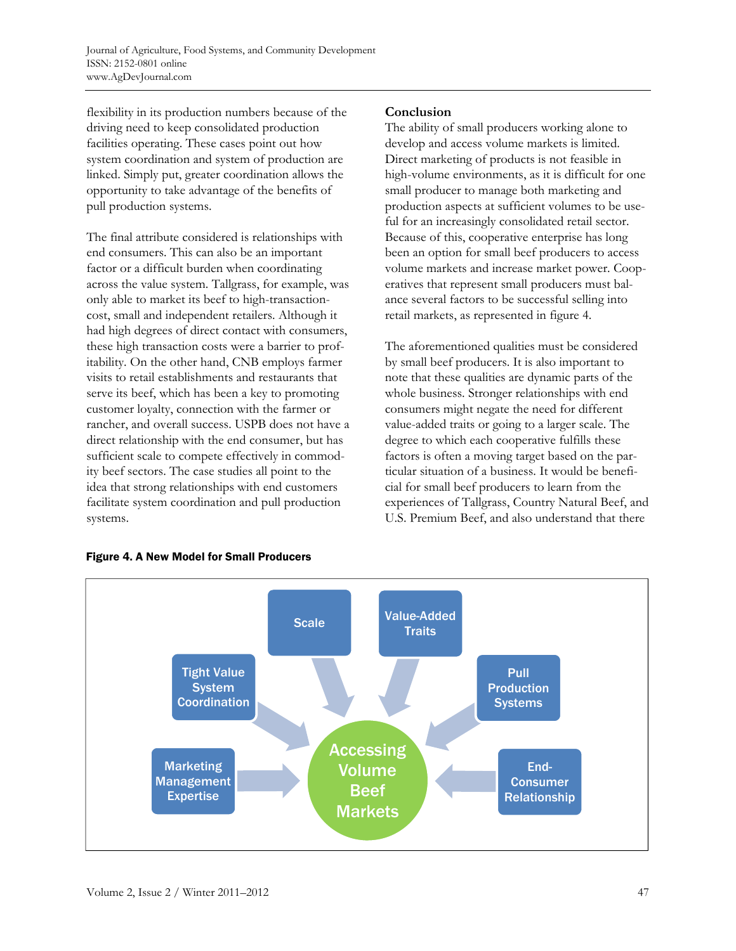flexibility in its production numbers because of the driving need to keep consolidated production facilities operating. These cases point out how system coordination and system of production are linked. Simply put, greater coordination allows the opportunity to take advantage of the benefits of pull production systems.

The final attribute considered is relationships with end consumers. This can also be an important factor or a difficult burden when coordinating across the value system. Tallgrass, for example, was only able to market its beef to high-transactioncost, small and independent retailers. Although it had high degrees of direct contact with consumers, these high transaction costs were a barrier to profitability. On the other hand, CNB employs farmer visits to retail establishments and restaurants that serve its beef, which has been a key to promoting customer loyalty, connection with the farmer or rancher, and overall success. USPB does not have a direct relationship with the end consumer, but has sufficient scale to compete effectively in commodity beef sectors. The case studies all point to the idea that strong relationships with end customers facilitate system coordination and pull production systems.

## **Conclusion**

The ability of small producers working alone to develop and access volume markets is limited. Direct marketing of products is not feasible in high-volume environments, as it is difficult for one small producer to manage both marketing and production aspects at sufficient volumes to be useful for an increasingly consolidated retail sector. Because of this, cooperative enterprise has long been an option for small beef producers to access volume markets and increase market power. Cooperatives that represent small producers must balance several factors to be successful selling into retail markets, as represented in figure 4.

The aforementioned qualities must be considered by small beef producers. It is also important to note that these qualities are dynamic parts of the whole business. Stronger relationships with end consumers might negate the need for different value-added traits or going to a larger scale. The degree to which each cooperative fulfills these factors is often a moving target based on the particular situation of a business. It would be beneficial for small beef producers to learn from the experiences of Tallgrass, Country Natural Beef, and U.S. Premium Beef, and also understand that there



#### Figure 4. A New Model for Small Producers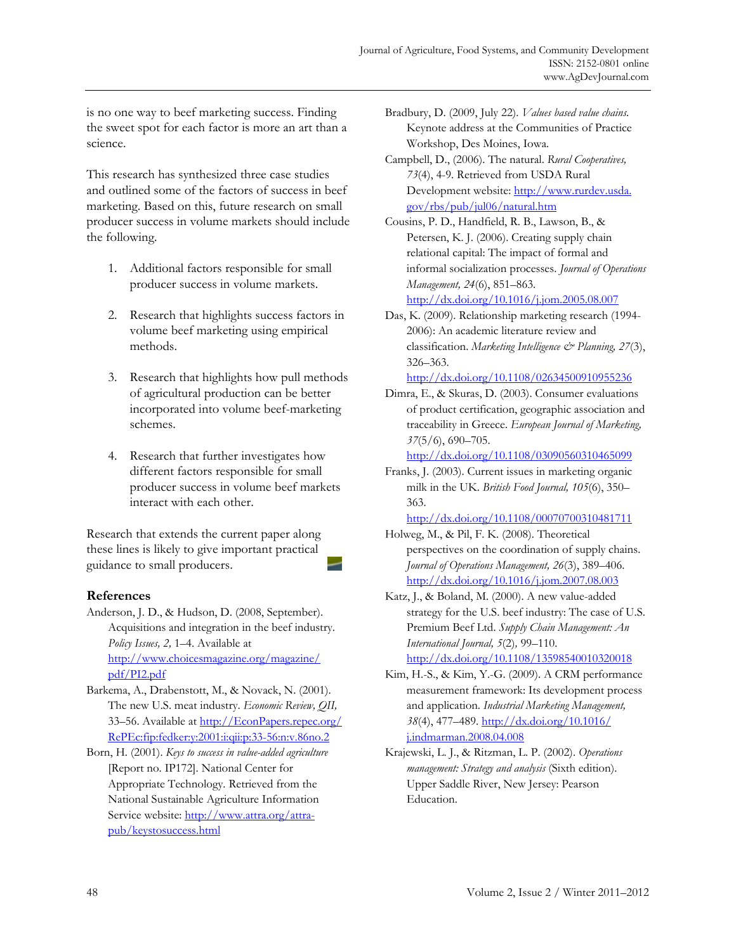is no one way to beef marketing success. Finding the sweet spot for each factor is more an art than a science.

This research has synthesized three case studies and outlined some of the factors of success in beef marketing. Based on this, future research on small producer success in volume markets should include the following.

- 1. Additional factors responsible for small producer success in volume markets.
- 2. Research that highlights success factors in volume beef marketing using empirical methods.
- 3. Research that highlights how pull methods of agricultural production can be better incorporated into volume beef-marketing schemes.
- 4. Research that further investigates how different factors responsible for small producer success in volume beef markets interact with each other.

Research that extends the current paper along these lines is likely to give important practical guidance to small producers.

### **References**

- Anderson, J. D., & Hudson, D. (2008, September). Acquisitions and integration in the beef industry. *Policy Issues, 2,* 1–4. Available at [http://www.choicesmagazine.org/magazine/](http://www.choicesmagazine.org/magazine/pdf/PI2.pdf) pdf/PI2.pdf
- Barkema, A., Drabenstott, M., & Novack, N. (2001). The new U.S. meat industry. *Economic Review, QII,*  [33–56. Available at http://EconPapers.repec.org/](http://EconPapers.repec.org/RePEc:fip:fedker:y:2001:i:qii:p:33-56:n:v.86no.2) RePEc:fip:fedker:y:2001:i:qii:p:33-56:n:v.86no.2
- Born, H. (2001). *Keys to success in value-added agriculture* [Report no. IP172]. National Center for Appropriate Technology. Retrieved from the National Sustainable Agriculture Information [Service website: http://www.attra.org/attra](http://www.attra.org/attra-pub/keystosuccess.html)pub/keystosuccess.html
- Bradbury, D. (2009, July 22). *Values based value chains.*  Keynote address at the Communities of Practice Workshop, Des Moines, Iowa.
- Campbell, D., (2006). The natural. *Rural Cooperatives, 73*(4), 4-9. Retrieved from USDA Rural Development website: http://www.rurdev.usda. gov/rbs/pub/jul06/natural.htm

Cousins, P. D., Handfield, R. B., Lawson, B., & Petersen, K. J. (2006). Creating supply chain relational capital: The impact of formal and informal socialization processes. *Journal of Operations Management, 24*(6), 851–863. <http://dx.doi.org/10.1016/j.jom.2005.08.007>

Das, K. (2009). Relationship marketing research (1994- 2006): An academic literature review and classification. *Marketing Intelligence & Planning, 27*(3), 326–363.

<http://dx.doi.org/10.1108/02634500910955236>

Dimra, E., & Skuras, D. (2003). Consumer evaluations of product certification, geographic association and traceability in Greece. *European Journal of Marketing, 37*(5/6), 690–705.

<http://dx.doi.org/10.1108/03090560310465099>

Franks, J. (2003). Current issues in marketing organic milk in the UK. *British Food Journal, 105*(6), 350– 363.

<http://dx.doi.org/10.1108/00070700310481711>

- Holweg, M., & Pil, F. K. (2008). Theoretical perspectives on the coordination of supply chains. *Journal of Operations Management, 26*(3), 389–406. <http://dx.doi.org/10.1016/j.jom.2007.08.003>
- Katz, J., & Boland, M. (2000). A new value-added strategy for the U.S. beef industry: The case of U.S. Premium Beef Ltd. *Supply Chain Management: An International Journal, 5*(2)*,* 99–110.

<http://dx.doi.org/10.1108/13598540010320018>

- Kim, H.-S., & Kim, Y.-G. (2009). A CRM performance measurement framework: Its development process and application. *Industrial Marketing Management, 38*[\(4\), 477–489. http://dx.doi.org/10.1016/](http://dx.doi.org/10.1016/j.indmarman.2008.04.008)  j.indmarman.2008.04.008
- Krajewski, L. J., & Ritzman, L. P. (2002). *Operations management: Strategy and analysis* (Sixth edition). Upper Saddle River, New Jersey: Pearson Education.